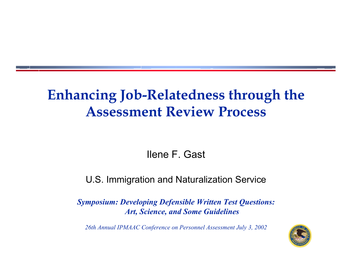## **Enhancing Job-Relatedness through the Assessment Review Process**

Ilene F. Gast

### U.S. Immigration and Naturalization Service

*Symposium: Developing Defensible Written Test Questions: Art, Science, and Some Guidelines*

*26th Annual IPMAAC Conference on Personnel Assessment July 3, 2002*

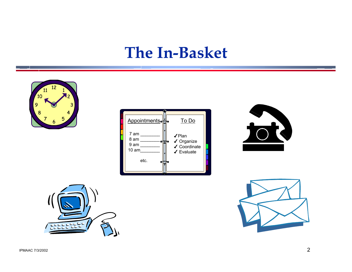## **The In-Basket**









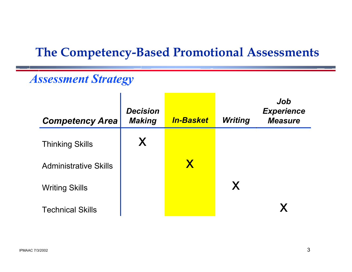## **The Competency-Based Promotional Assessments**

### *Assessment Strategy*

| <b>Competency Area</b>       | <b>Decision</b><br><b>Making</b> | <i><b>In-Basket</b></i> | <b>Writing</b> | Job<br><b>Experience</b><br><b>Measure</b> |
|------------------------------|----------------------------------|-------------------------|----------------|--------------------------------------------|
| <b>Thinking Skills</b>       | X                                |                         |                |                                            |
| <b>Administrative Skills</b> |                                  | X                       |                |                                            |
| <b>Writing Skills</b>        |                                  |                         | X              |                                            |
| <b>Technical Skills</b>      |                                  |                         |                |                                            |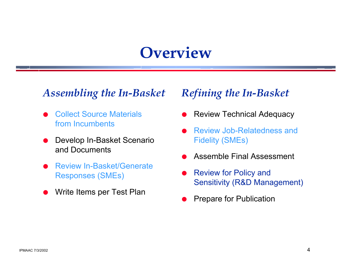# **Overview**

### *Assembling the In-Basket*

- O Collect Source Materials from Incumbents
- O Develop In-Basket Scenario and Documents
- O Review In-Basket/Generate Responses (SMEs)
- OWrite Items per Test Plan

### *Refining the In-Basket*

- OReview Technical Adequacy
- O Review Job-Relatedness and Fidelity (SMEs)
- OAssemble Final Assessment
- O Review for Policy and Sensitivity (R&D Management)
- OPrepare for Publication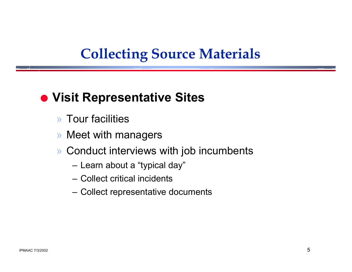## **Collecting Source Materials**

## $\bullet$  **Visit Representative Sites**

- » Tour facilities
- » Meet with managers
- » Conduct interviews with job incumbents
	- Learn about a "typical day"
	- Collect critical incidents
	- Collect representative documents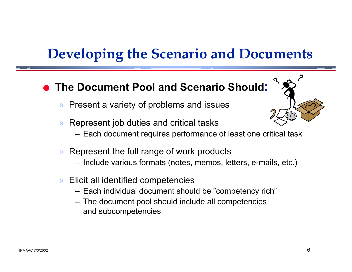## **Developing the Scenario and Documents**

#### O**The Document Pool and Scenario Should:**

- »Present a variety of problems and issues
- » Represent job duties and critical tasks
	- Each document requires performance of least one critical task
- » Represent the full range of work products
	- Include various formats (notes, memos, letters, e-mails, etc.)
- » Elicit all identified competencies
	- Each individual document should be "competency rich"
	- The document pool should include all competencies and subcompetencies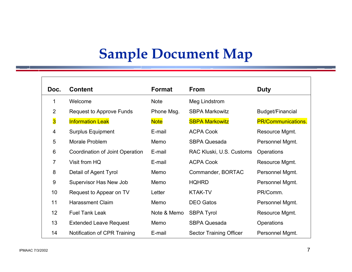# **Sample Document Map**

| Doc.             | <b>Content</b>                  | <b>Format</b> | <b>From</b>                    | <b>Duty</b>               |
|------------------|---------------------------------|---------------|--------------------------------|---------------------------|
| 1                | Welcome                         | <b>Note</b>   | Meg Lindstrom                  |                           |
| $\overline{2}$   | Request to Approve Funds        | Phone Msg.    | <b>SBPA Markowitz</b>          | Budget/Financial          |
| $\overline{3}$   | <b>Information Leak</b>         | <b>Note</b>   | <b>SBPA Markowitz</b>          | <b>PR/Communications.</b> |
| 4                | <b>Surplus Equipment</b>        | E-mail        | <b>ACPA Cook</b>               | Resource Mgmt.            |
| 5                | Morale Problem                  | Memo          | <b>SBPA Quesada</b>            | Personnel Mgmt.           |
| 6                | Coordination of Joint Operation | E-mail        | RAC Kluski, U.S. Customs       | Operations                |
| $\overline{7}$   | Visit from HQ                   | E-mail        | <b>ACPA Cook</b>               | Resource Mgmt.            |
| 8                | Detail of Agent Tyrol           | Memo          | Commander, BORTAC              | Personnel Mgmt.           |
| $\boldsymbol{9}$ | Supervisor Has New Job          | Memo          | <b>HQHRD</b>                   | Personnel Mgmt.           |
| 10               | Request to Appear on TV         | Letter        | <b>KTAK-TV</b>                 | PR/Comm.                  |
| 11               | <b>Harassment Claim</b>         | Memo          | <b>DEO Gatos</b>               | Personnel Mgmt.           |
| 12               | <b>Fuel Tank Leak</b>           | Note & Memo   | <b>SBPA Tyrol</b>              | Resource Mgmt.            |
| 13               | <b>Extended Leave Request</b>   | Memo          | <b>SBPA Quesada</b>            | Operations                |
| 14               | Notification of CPR Training    | E-mail        | <b>Sector Training Officer</b> | Personnel Mgmt.           |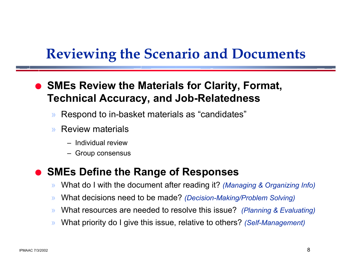## **Reviewing the Scenario and Documents**

O **SMEs Review the Materials for Clarity, Format, Technical Accuracy, and Job-Relatedness**

- »Respond to in-basket materials as "candidates"
- » Review materials
	- Individual review
	- Group consensus

#### O**SMEs Define the Range of Responses**

- »What do I with the document after reading it? *(Managing & Organizing Info)*
- »What decisions need to be made? *(Decision-Making/Problem Solving)*
- »What resources are needed to resolve this issue? *(Planning & Evaluating)*
- »What priority do I give this issue, relative to others? *(Self-Management)*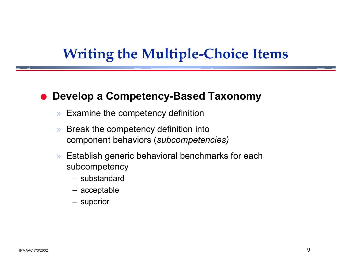## **Writing the Multiple-Choice Items**

#### O**Develop a Competency-Based Taxonomy**

- »Examine the competency definition
- » Break the competency definition into component behaviors (*subcompetencies)*
- » Establish generic behavioral benchmarks for each subcompetency
	- substandard
	- acceptable
	- superior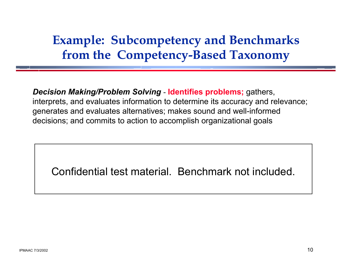## **Example: Subcompetency and Benchmarks from the Competency-Based Taxonomy**

*Decision Making/Problem Solving* - **Identifies problems;** gathers, interprets, and evaluates information to determine its accuracy and relevance; generates and evaluates alternatives; makes sound and well-informed decisions; and commits to action to accomplish organizational goals

Confidential test material. Benchmark not included.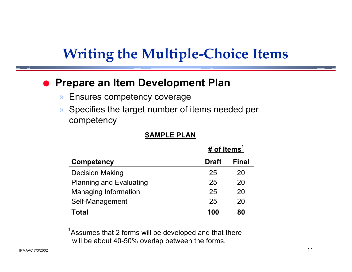## **Writing the Multiple-Choice Items**

#### O**Prepare an Item Development Plan**

- »Ensures competency coverage
- » Specifies the target number of items needed per competency

#### **SAMPLE PLAN**

|                                | # of Items <sup>1</sup> |              |
|--------------------------------|-------------------------|--------------|
| <b>Competency</b>              | <b>Draft</b>            | <b>Final</b> |
| <b>Decision Making</b>         | 25                      | 20           |
| <b>Planning and Evaluating</b> | 25                      | 20           |
| <b>Managing Information</b>    | 25                      | 20           |
| Self-Management                | 25                      | 20           |
| Total                          | 100                     | 80           |

 $1$ Assumes that 2 forms will be developed and that there will be about 40-50% overlap between the forms.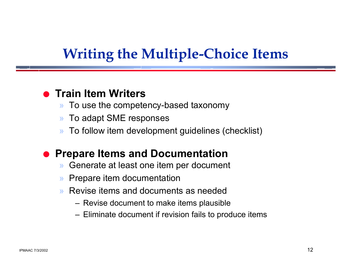## **Writing the Multiple-Choice Items**

### **• Train Item Writers**

- »To use the competency-based taxonomy
- »To adapt SME responses
- »To follow item development guidelines (checklist)

#### O**Prepare Items and Documentation**

- »Generate at least one item per document
- »Prepare item documentation
- » Revise items and documents as needed
	- Revise document to make items plausible
	- Eliminate document if revision fails to produce items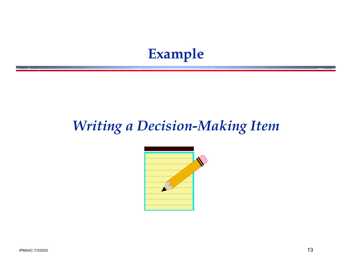## **Example**

## *Writing a Decision-Making Item*

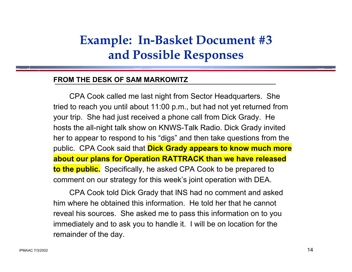## **Example: In-Basket Document #3 and Possible Responses**

#### **FROM THE DESK OF SAM MARKOWITZ**

CPA Cook called me last night from Sector Headquarters. She tried to reach you until about 11:00 p.m., but had not yet returned from your trip. She had just received a phone call from Dick Grady. He hosts the all-night talk show on KNWS-Talk Radio. Dick Grady invited her to appear to respond to his "digs" and then take questions from the public. CPA Cook said that **Dick Grady appears to know much more about our plans for Operation RATTRACK than we have released to the public.** Specifically, he asked CPA Cook to be prepared to comment on our strategy for this week's joint operation with DEA.

CPA Cook told Dick Grady that INS had no comment and asked him where he obtained this information. He told her that he cannotreveal his sources. She asked me to pass this information on to you immediately and to ask you to handle it. I will be on location for the remainder of the day.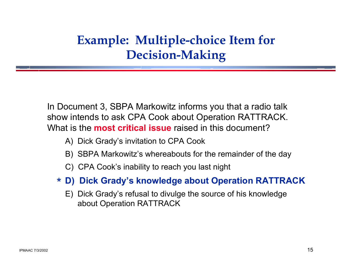## **Example: Multiple-choice Item for Decision-Making**

In Document 3, SBPA Markowitz informs you that a radio talk show intends to ask CPA Cook about Operation RATTRACK. What is the **most critical issue** raised in this document?

- A) Dick Grady's invitation to CPA Cook
- B) SBPA Markowitz's whereabouts for the remainder of the day
- C) CPA Cook's inability to reach you last night
- **D) Dick Grady's knowledge about Operation RATTRACK** \*
	- E) Dick Grady's refusal to divulge the source of his knowledge about Operation RATTRACK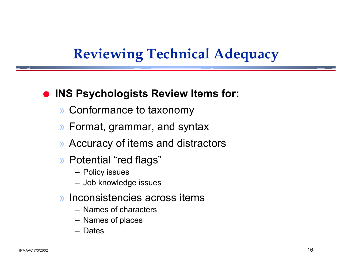# **Reviewing Technical Adequacy**

### $\bullet$  **INS Psychologists Review Items for:**

- » Conformance to taxonomy
- » Format, grammar, and syntax
- » Accuracy of items and distractors
- » Potential "red flags"
	- Policy issues
	- Job knowledge issues
- » Inconsistencies across items
	- Names of characters
	- Names of places
	- Dates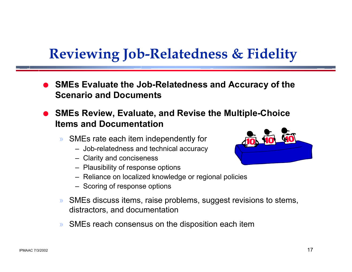# **Reviewing Job-Relatedness & Fidelity**

- O **SMEs Evaluate the Job-Relatedness and Accuracy of the Scenario and Documents**
- O **SMEs Review, Evaluate, and Revise the Multiple-Choice Items and Documentation**
	- » SMEs rate each item independently for
		- Job-relatedness and technical accuracy
		- Clarity and conciseness
		- Plausibility of response options
		- Reliance on localized knowledge or regional policies
		- Scoring of response options
	- » SMEs discuss items, raise problems, suggest revisions to stems, distractors, and documentation
	- »SMEs reach consensus on the disposition each item

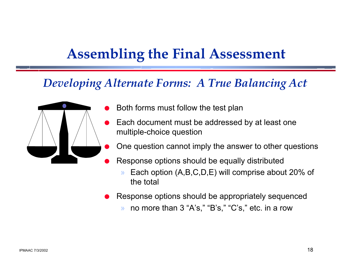## **Assembling the Final Assessment**

### *Developing Alternate Forms: A True Balancing Act*



- Both forms must follow the test plan
- Each document must be addressed by at least one multiple-choice question
	- One question cannot imply the answer to other questions
- Response options should be equally distributed
	- » Each option (A,B,C,D,E) will comprise about 20% of the total
- O Response options should be appropriately sequenced
	- »no more than 3 "A's," "B's," "C's," etc. in a row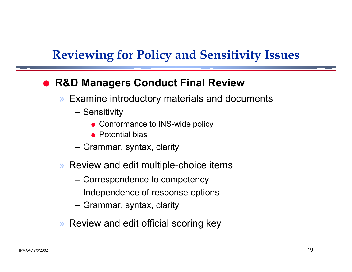## **Reviewing for Policy and Sensitivity Issues**

#### O**R&D Managers Conduct Final Review**

- » Examine introductory materials and documents
	- Sensitivity
		- Conformance to INS-wide policy
		- $\bullet$  Potential bias
	- Grammar, syntax, clarity
- » Review and edit multiple-choice items
	- Correspondence to competency
	- $-$  Independence of response options
	- Grammar, syntax, clarity
- » Review and edit official scoring key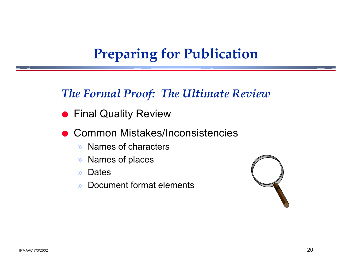## **Preparing for Publication**

### *The Formal Proof: The Ultimate Review*

- **Final Quality Review**
- O Common Mistakes/Inconsistencies
	- »Names of characters
	- »Names of places
	- »**Dates**
	- » Document format elements

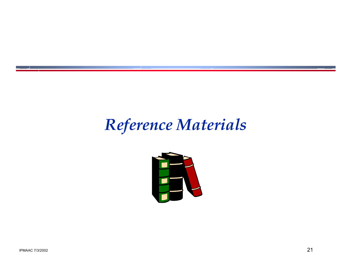# *Reference Materials*

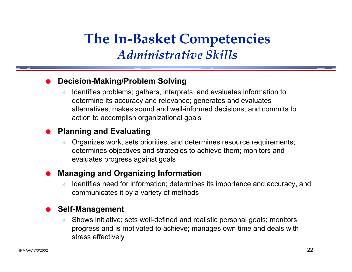## **The In-Basket Competencies** *Administrative Skills*

#### O**Decision-Making/Problem Solving**

» Identifies problems; gathers, interprets, and evaluates information to determine its accuracy and relevance; generates and evaluates alternatives; makes sound and well-informed decisions; and commits to action to accomplish organizational goals

#### O**Planning and Evaluating**

» Organizes work, sets priorities, and determines resource requirements; determines objectives and strategies to achieve them; monitors and evaluates progress against goals

#### O**Managing and Organizing Information**

» Identifies need for information; determines its importance and accuracy, and communicates it by a variety of methods

#### O**Self-Management**

» Shows initiative; sets well-defined and realistic personal goals; monitors progress and is motivated to achieve; manages own time and deals with stress effectively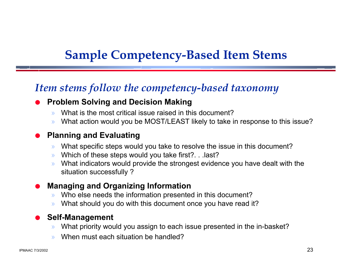## **Sample Competency-Based Item Stems**

### *Item stems follow the competency-based taxonomy*

#### O**Problem Solving and Decision Making**

- »What is the most critical issue raised in this document?
- »What action would you be MOST/LEAST likely to take in response to this issue?

#### O**Planning and Evaluating**

- »What specific steps would you take to resolve the issue in this document?
- »Which of these steps would you take first?. . . last?
- » What indicators would provide the strongest evidence you have dealt with the situation successfully ?

#### O**Managing and Organizing Information**

- »Who else needs the information presented in this document?
- »What should you do with this document once you have read it?

#### O**Self-Management**

- »What priority would you assign to each issue presented in the in-basket?
- »When must each situation be handled?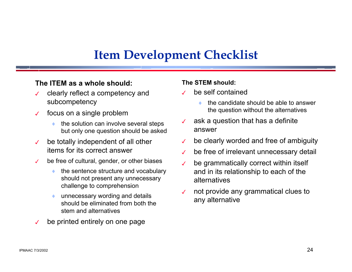### **Item Development Checklist**

#### **The ITEM as a whole should:**

- $\checkmark$  clearly reflect a competency and subcompetency
- $\overline{\mathcal{L}}$  focus on a single problem
	- ♦ the solution can involve several steps but only one question should be asked
- $\checkmark$  be totally independent of all other items for its correct answer
- $\overline{\mathcal{L}}$  be free of cultural, gender, or other biases
	- ♦ the sentence structure and vocabulary should not present any unnecessary challenge to comprehension
	- ♦ unnecessary wording and details should be eliminated from both the stem and alternatives
- $\checkmark$ be printed entirely on one page

#### **The STEM should:**

- $\checkmark$  be self contained
	- ♦ the candidate should be able to answer the question without the alternatives
- $\checkmark$  ask a question that has a definite answer
- $\checkmark$ be clearly worded and free of ambiguity
- $\overline{ }$ be free of irrelevant unnecessary detail
- $\checkmark$  be grammatically correct within itself and in its relationship to each of the alternatives
- $\checkmark$  not provide any grammatical clues to any alternative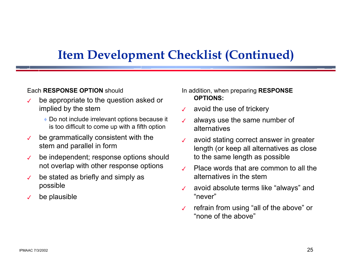### **Item Development Checklist (Continued)**

#### Each **RESPONSE OPTION** should

- $\checkmark$  be appropriate to the question asked or implied by the stem
	- $\bullet$  Do not include irrelevant options because it is too difficult to come up with a fifth option
- $\checkmark$  be grammatically consistent with the stem and parallel in form
- $\checkmark$  be independent; response options should not overlap with other response options
- $\checkmark$  be stated as briefly and simply as possible
- $\checkmark$ be plausible

In addition, when preparing **RESPONSE OPTIONS:**

- $\mathcal{L}$ avoid the use of trickery
- $\overline{\mathcal{L}}$  always use the same number of alternatives
- $\checkmark$  avoid stating correct answer in greater length (or keep all alternatives as close to the same length as possible
- $\mathcal{L}$  Place words that are common to all the alternatives in the stem
- $\checkmark$  avoid absolute terms like "always" and "never"
- $\checkmark$  refrain from using "all of the above" or "none of the above"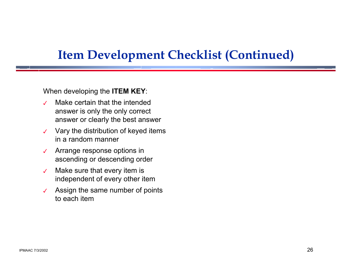### **Item Development Checklist (Continued)**

When developing the **ITEM KEY**:

- $\overline{\mathcal{L}}$  Make certain that the intended answer is only the only correct answer or clearly the best answer
- $\checkmark$  Vary the distribution of keyed items in a random manner
- $\checkmark$  Arrange response options in ascending or descending order
- $\checkmark$  Make sure that every item is independent of every other item
- $\overline{\mathcal{L}}$  Assign the same number of points to each item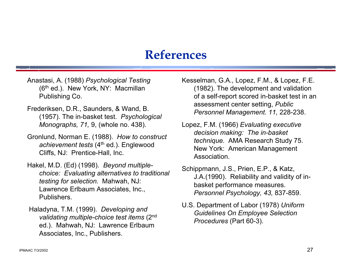### **References**

- Anastasi, A. (1988) *Psychological Testing* (6<sup>th</sup> ed.). New York, NY: Macmillan Publishing Co.
- Frederiksen, D.R., Saunders, & Wand, B. (1957). The in-basket test. *Psychological Monographs, 71,* 9, (whole no. 438).
- Gronlund, Norman E. (1988). *How to construct achievement tests* (4th ed.). Englewood Cliffs, NJ: Prentice-Hall, Inc.
- Hakel, M.D. (Ed) (1998). *Beyond multiplechoice: Evaluating alternatives to traditional testing for selection.* Mahwah, NJ: Lawrence Erlbaum Associates, Inc., Publishers.
- Haladyna, T.M. (1999). *Developing and validating multiple-choice test items* (2nd ed.). Mahwah, NJ: Lawrence Erlbaum Associates, Inc., Publishers.

Kesselman, G.A., Lopez, F.M., & Lopez, F.E. (1982). The development and validation of a self-report scored in-basket test in an assessment center setting, *Public Personnel Management. 11,* 228-238.

Lopez, F.M. (1966) *Evaluating executive decision making: The in-basket technique.* AMA Research Study 75. New York: American Management Association.

Schippmann, J.S., Prien, E.P., & Katz, J.A.(1990). Reliability and validity of inbasket performance measures. *Personnel Psychology, 43,* 837-859.

U.S. Department of Labor (1978) *Uniform Guidelines On Employee Selection Procedures* (Part 60-3).